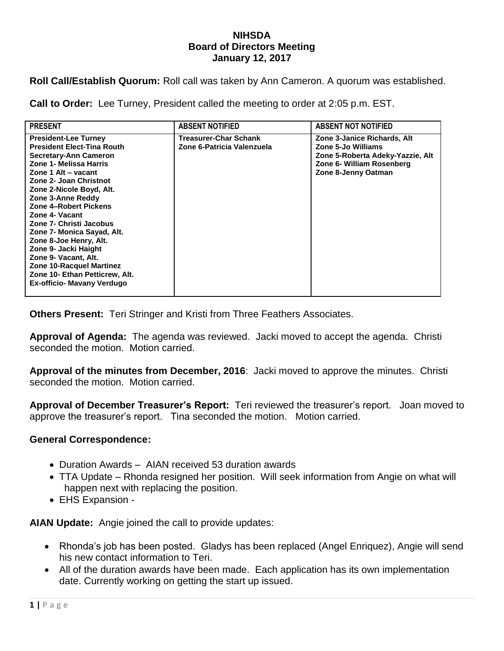## **NIHSDA Board of Directors Meeting January 12, 2017**

**Roll Call/Establish Quorum:** Roll call was taken by Ann Cameron. A quorum was established.

**Call to Order:** Lee Turney, President called the meeting to order at 2:05 p.m. EST.

| <b>PRESENT</b>                                                                                                                                                                                                                                                                                                                                                                                                                                                                                                | <b>ABSENT NOTIFIED</b>                              | <b>ABSENT NOT NOTIFIED</b>                                                                                                                |
|---------------------------------------------------------------------------------------------------------------------------------------------------------------------------------------------------------------------------------------------------------------------------------------------------------------------------------------------------------------------------------------------------------------------------------------------------------------------------------------------------------------|-----------------------------------------------------|-------------------------------------------------------------------------------------------------------------------------------------------|
| <b>President-Lee Turney</b><br><b>President Elect-Tina Routh</b><br>Secretary-Ann Cameron<br>Zone 1- Melissa Harris<br>Zone 1 Alt - vacant<br>Zone 2- Joan Christnot<br>Zone 2-Nicole Boyd, Alt.<br>Zone 3-Anne Reddy<br>Zone 4-Robert Pickens<br>Zone 4- Vacant<br>Zone 7- Christi Jacobus<br>Zone 7- Monica Sayad, Alt.<br>Zone 8-Joe Henry, Alt.<br>Zone 9- Jacki Haight<br>Zone 9- Vacant, Alt.<br><b>Zone 10-Racquel Martinez</b><br>Zone 10- Ethan Petticrew, Alt.<br><b>Ex-officio- Mavany Verdugo</b> | Treasurer-Char Schank<br>Zone 6-Patricia Valenzuela | Zone 3-Janice Richards, Alt<br>Zone 5-Jo Williams<br>Zone 5-Roberta Adeky-Yazzie, Alt<br>Zone 6- William Rosenberg<br>Zone 8-Jenny Oatman |
|                                                                                                                                                                                                                                                                                                                                                                                                                                                                                                               |                                                     |                                                                                                                                           |

**Others Present:** Teri Stringer and Kristi from Three Feathers Associates.

**Approval of Agenda:** The agenda was reviewed. Jacki moved to accept the agenda. Christi seconded the motion. Motion carried.

**Approval of the minutes from December, 2016**: Jacki moved to approve the minutes. Christi seconded the motion. Motion carried.

**Approval of December Treasurer's Report:** Teri reviewed the treasurer's report. Joan moved to approve the treasurer's report. Tina seconded the motion. Motion carried.

## **General Correspondence:**

- Duration Awards AIAN received 53 duration awards
- TTA Update Rhonda resigned her position. Will seek information from Angie on what will happen next with replacing the position.
- EHS Expansion -

**AIAN Update:** Angie joined the call to provide updates:

- Rhonda's job has been posted. Gladys has been replaced (Angel Enriquez), Angie will send his new contact information to Teri.
- All of the duration awards have been made. Each application has its own implementation date. Currently working on getting the start up issued.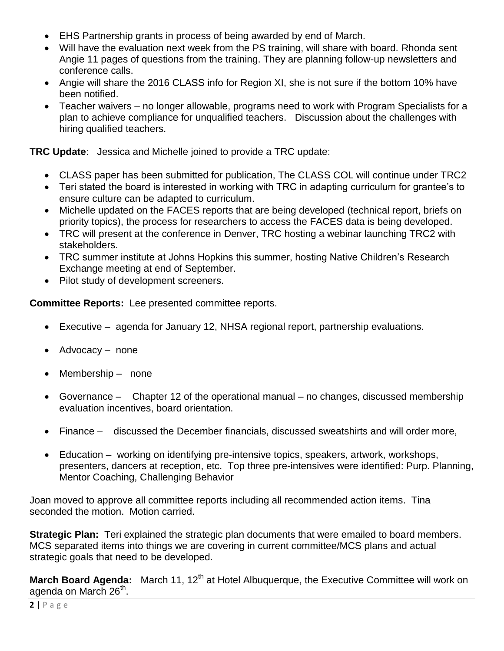- EHS Partnership grants in process of being awarded by end of March.
- Will have the evaluation next week from the PS training, will share with board. Rhonda sent Angie 11 pages of questions from the training. They are planning follow-up newsletters and conference calls.
- Angie will share the 2016 CLASS info for Region XI, she is not sure if the bottom 10% have been notified.
- Teacher waivers no longer allowable, programs need to work with Program Specialists for a plan to achieve compliance for unqualified teachers. Discussion about the challenges with hiring qualified teachers.

**TRC Update**: Jessica and Michelle joined to provide a TRC update:

- CLASS paper has been submitted for publication, The CLASS COL will continue under TRC2
- Teri stated the board is interested in working with TRC in adapting curriculum for grantee's to ensure culture can be adapted to curriculum.
- Michelle updated on the FACES reports that are being developed (technical report, briefs on priority topics), the process for researchers to access the FACES data is being developed.
- TRC will present at the conference in Denver, TRC hosting a webinar launching TRC2 with stakeholders.
- TRC summer institute at Johns Hopkins this summer, hosting Native Children's Research Exchange meeting at end of September.
- Pilot study of development screeners.

**Committee Reports:** Lee presented committee reports.

- Executive agenda for January 12, NHSA regional report, partnership evaluations.
- Advocacy none
- Membership none
- Governance Chapter 12 of the operational manual no changes, discussed membership evaluation incentives, board orientation.
- Finance discussed the December financials, discussed sweatshirts and will order more,
- Education working on identifying pre-intensive topics, speakers, artwork, workshops, presenters, dancers at reception, etc. Top three pre-intensives were identified: Purp. Planning, Mentor Coaching, Challenging Behavior

Joan moved to approve all committee reports including all recommended action items. Tina seconded the motion. Motion carried.

**Strategic Plan:** Teri explained the strategic plan documents that were emailed to board members. MCS separated items into things we are covering in current committee/MCS plans and actual strategic goals that need to be developed.

**March Board Agenda:** March 11, 12<sup>th</sup> at Hotel Albuquerque, the Executive Committee will work on agenda on March 26<sup>th</sup>.